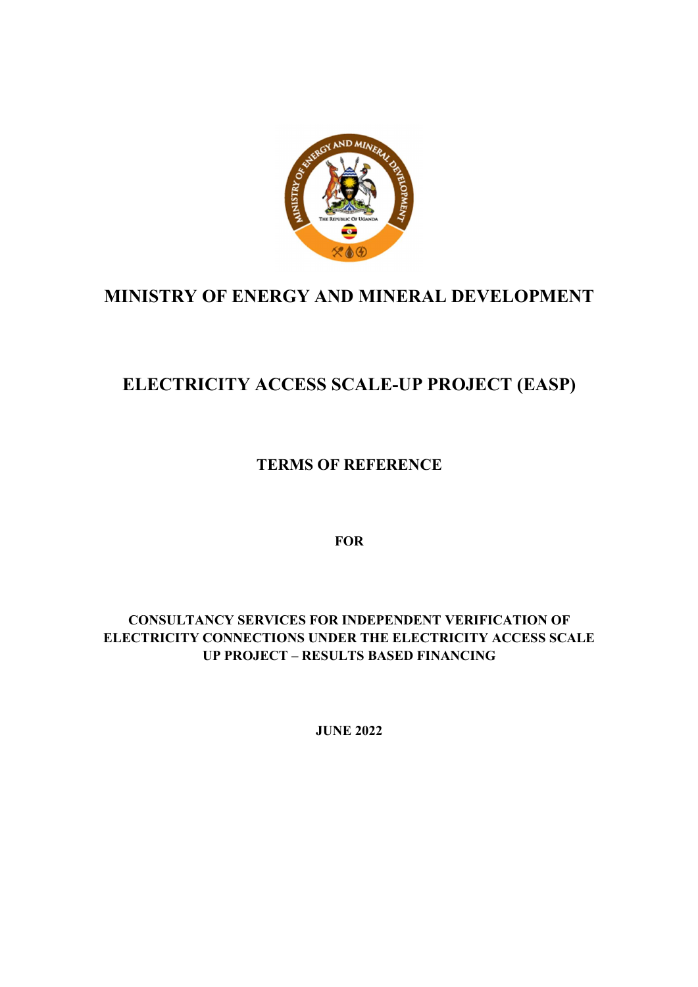

## MINISTRY OF ENERGY AND MINERAL DEVELOPMENT

# ELECTRICITY ACCESS SCALE-UP PROJECT (EASP)

TERMS OF REFERENCE

**FOR** 

CONSULTANCY SERVICES FOR INDEPENDENT VERIFICATION OF ELECTRICITY CONNECTIONS UNDER THE ELECTRICITY ACCESS SCALE UP PROJECT – RESULTS BASED FINANCING

JUNE 2022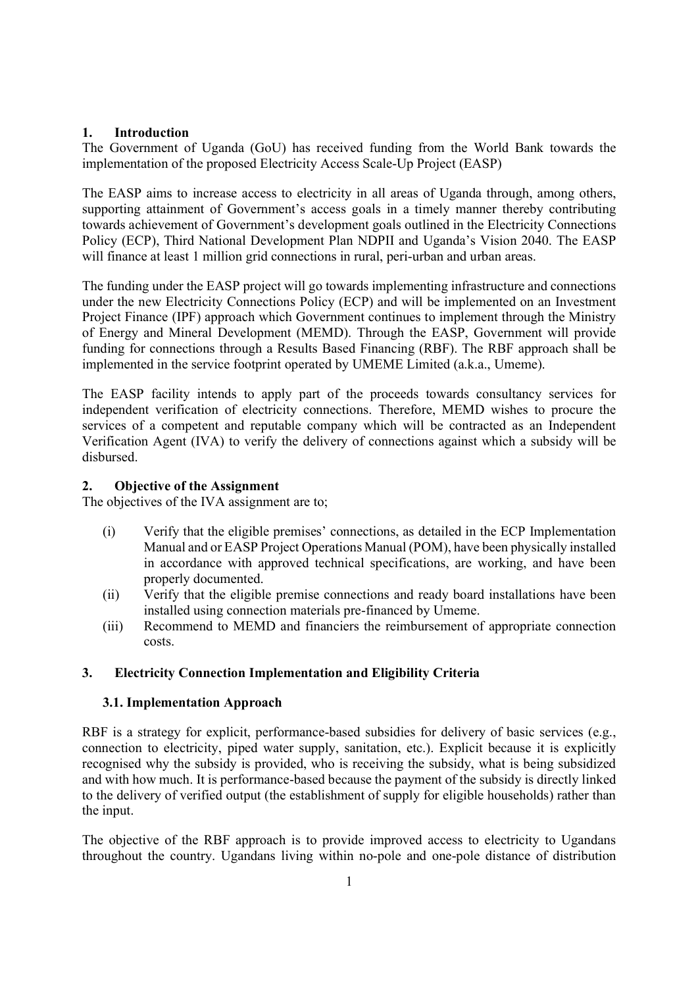## 1. Introduction

The Government of Uganda (GoU) has received funding from the World Bank towards the implementation of the proposed Electricity Access Scale-Up Project (EASP)

The EASP aims to increase access to electricity in all areas of Uganda through, among others, supporting attainment of Government's access goals in a timely manner thereby contributing towards achievement of Government's development goals outlined in the Electricity Connections Policy (ECP), Third National Development Plan NDPII and Uganda's Vision 2040. The EASP will finance at least 1 million grid connections in rural, peri-urban and urban areas.

The funding under the EASP project will go towards implementing infrastructure and connections under the new Electricity Connections Policy (ECP) and will be implemented on an Investment Project Finance (IPF) approach which Government continues to implement through the Ministry of Energy and Mineral Development (MEMD). Through the EASP, Government will provide funding for connections through a Results Based Financing (RBF). The RBF approach shall be implemented in the service footprint operated by UMEME Limited (a.k.a., Umeme).

The EASP facility intends to apply part of the proceeds towards consultancy services for independent verification of electricity connections. Therefore, MEMD wishes to procure the services of a competent and reputable company which will be contracted as an Independent Verification Agent (IVA) to verify the delivery of connections against which a subsidy will be disbursed.

## 2. Objective of the Assignment

The objectives of the IVA assignment are to;

- (i) Verify that the eligible premises' connections, as detailed in the ECP Implementation Manual and or EASP Project Operations Manual (POM), have been physically installed in accordance with approved technical specifications, are working, and have been properly documented.
- (ii) Verify that the eligible premise connections and ready board installations have been installed using connection materials pre-financed by Umeme.
- (iii) Recommend to MEMD and financiers the reimbursement of appropriate connection costs.

## 3. Electricity Connection Implementation and Eligibility Criteria

## 3.1. Implementation Approach

RBF is a strategy for explicit, performance-based subsidies for delivery of basic services (e.g., connection to electricity, piped water supply, sanitation, etc.). Explicit because it is explicitly recognised why the subsidy is provided, who is receiving the subsidy, what is being subsidized and with how much. It is performance-based because the payment of the subsidy is directly linked to the delivery of verified output (the establishment of supply for eligible households) rather than the input.

The objective of the RBF approach is to provide improved access to electricity to Ugandans throughout the country. Ugandans living within no-pole and one-pole distance of distribution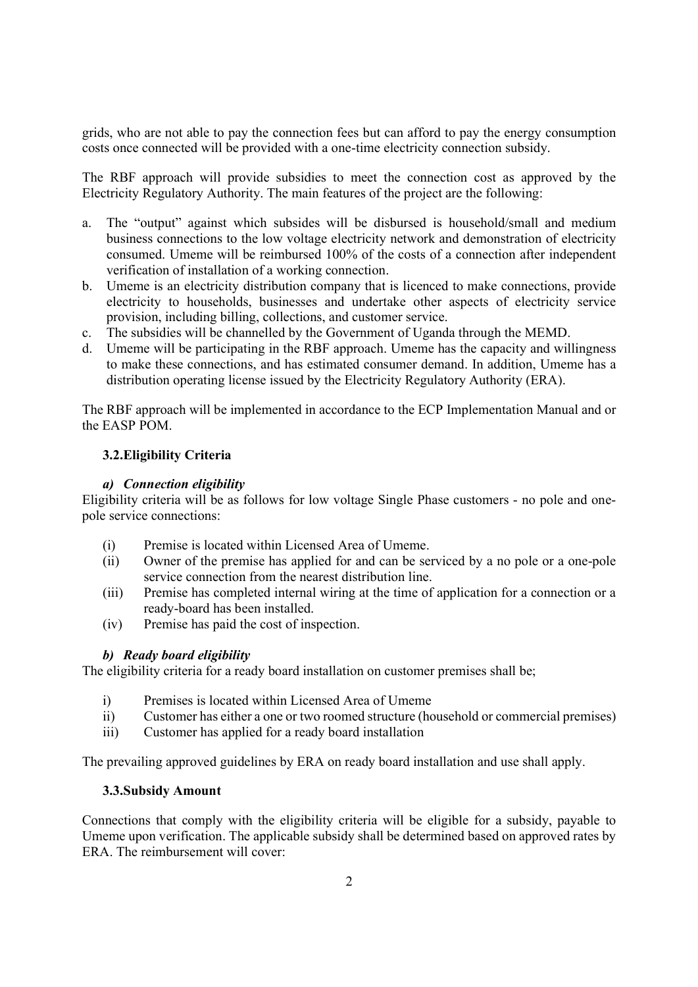grids, who are not able to pay the connection fees but can afford to pay the energy consumption costs once connected will be provided with a one-time electricity connection subsidy.

The RBF approach will provide subsidies to meet the connection cost as approved by the Electricity Regulatory Authority. The main features of the project are the following:

- a. The "output" against which subsides will be disbursed is household/small and medium business connections to the low voltage electricity network and demonstration of electricity consumed. Umeme will be reimbursed 100% of the costs of a connection after independent verification of installation of a working connection.
- b. Umeme is an electricity distribution company that is licenced to make connections, provide electricity to households, businesses and undertake other aspects of electricity service provision, including billing, collections, and customer service.
- c. The subsidies will be channelled by the Government of Uganda through the MEMD.
- d. Umeme will be participating in the RBF approach. Umeme has the capacity and willingness to make these connections, and has estimated consumer demand. In addition, Umeme has a distribution operating license issued by the Electricity Regulatory Authority (ERA).

The RBF approach will be implemented in accordance to the ECP Implementation Manual and or the EASP POM.

## 3.2.Eligibility Criteria

## a) Connection eligibility

Eligibility criteria will be as follows for low voltage Single Phase customers - no pole and onepole service connections:

- (i) Premise is located within Licensed Area of Umeme.
- (ii) Owner of the premise has applied for and can be serviced by a no pole or a one-pole service connection from the nearest distribution line.
- (iii) Premise has completed internal wiring at the time of application for a connection or a ready-board has been installed.
- (iv) Premise has paid the cost of inspection.

## b) Ready board eligibility

The eligibility criteria for a ready board installation on customer premises shall be;

- i) Premises is located within Licensed Area of Umeme
- ii) Customer has either a one or two roomed structure (household or commercial premises)
- iii) Customer has applied for a ready board installation

The prevailing approved guidelines by ERA on ready board installation and use shall apply.

#### 3.3.Subsidy Amount

Connections that comply with the eligibility criteria will be eligible for a subsidy, payable to Umeme upon verification. The applicable subsidy shall be determined based on approved rates by ERA. The reimbursement will cover: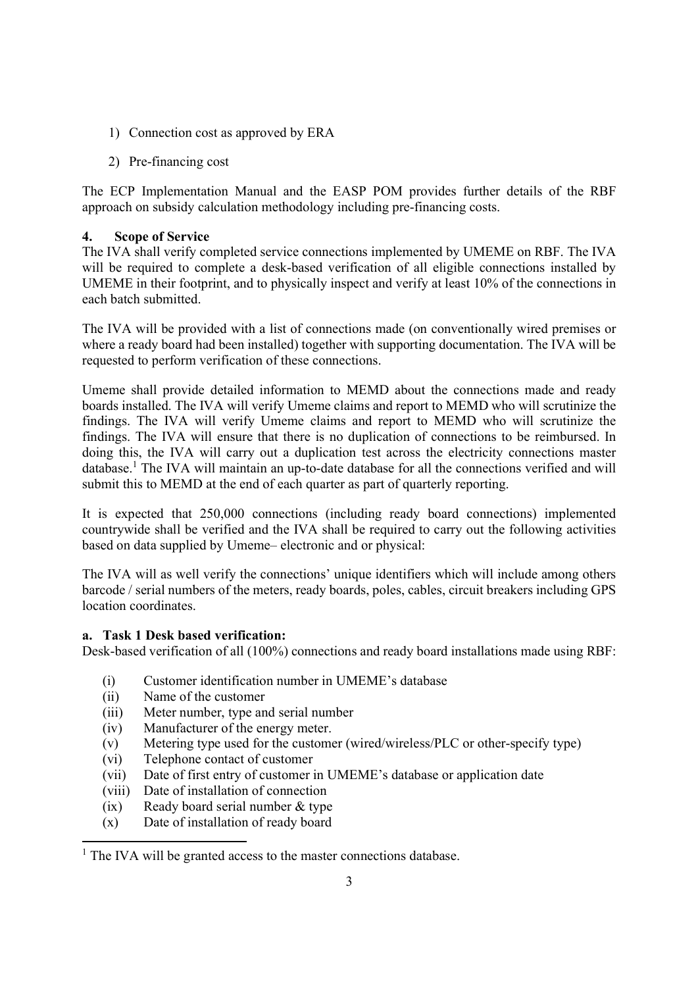- 1) Connection cost as approved by ERA
- 2) Pre-financing cost

The ECP Implementation Manual and the EASP POM provides further details of the RBF approach on subsidy calculation methodology including pre-financing costs.

## 4. Scope of Service

The IVA shall verify completed service connections implemented by UMEME on RBF. The IVA will be required to complete a desk-based verification of all eligible connections installed by UMEME in their footprint, and to physically inspect and verify at least 10% of the connections in each batch submitted.

The IVA will be provided with a list of connections made (on conventionally wired premises or where a ready board had been installed) together with supporting documentation. The IVA will be requested to perform verification of these connections.

Umeme shall provide detailed information to MEMD about the connections made and ready boards installed. The IVA will verify Umeme claims and report to MEMD who will scrutinize the findings. The IVA will verify Umeme claims and report to MEMD who will scrutinize the findings. The IVA will ensure that there is no duplication of connections to be reimbursed. In doing this, the IVA will carry out a duplication test across the electricity connections master database.<sup>1</sup> The IVA will maintain an up-to-date database for all the connections verified and will submit this to MEMD at the end of each quarter as part of quarterly reporting.

It is expected that 250,000 connections (including ready board connections) implemented countrywide shall be verified and the IVA shall be required to carry out the following activities based on data supplied by Umeme– electronic and or physical:

The IVA will as well verify the connections' unique identifiers which will include among others barcode / serial numbers of the meters, ready boards, poles, cables, circuit breakers including GPS location coordinates.

## a. Task 1 Desk based verification:

Desk-based verification of all (100%) connections and ready board installations made using RBF:

- (i) Customer identification number in UMEME's database
- (ii) Name of the customer
- (iii) Meter number, type and serial number
- (iv) Manufacturer of the energy meter.
- (v) Metering type used for the customer (wired/wireless/PLC or other-specify type)
- (vi) Telephone contact of customer
- (vii) Date of first entry of customer in UMEME's database or application date
- (viii) Date of installation of connection
- (ix) Ready board serial number & type
- (x) Date of installation of ready board

<sup>&</sup>lt;sup>1</sup> The IVA will be granted access to the master connections database.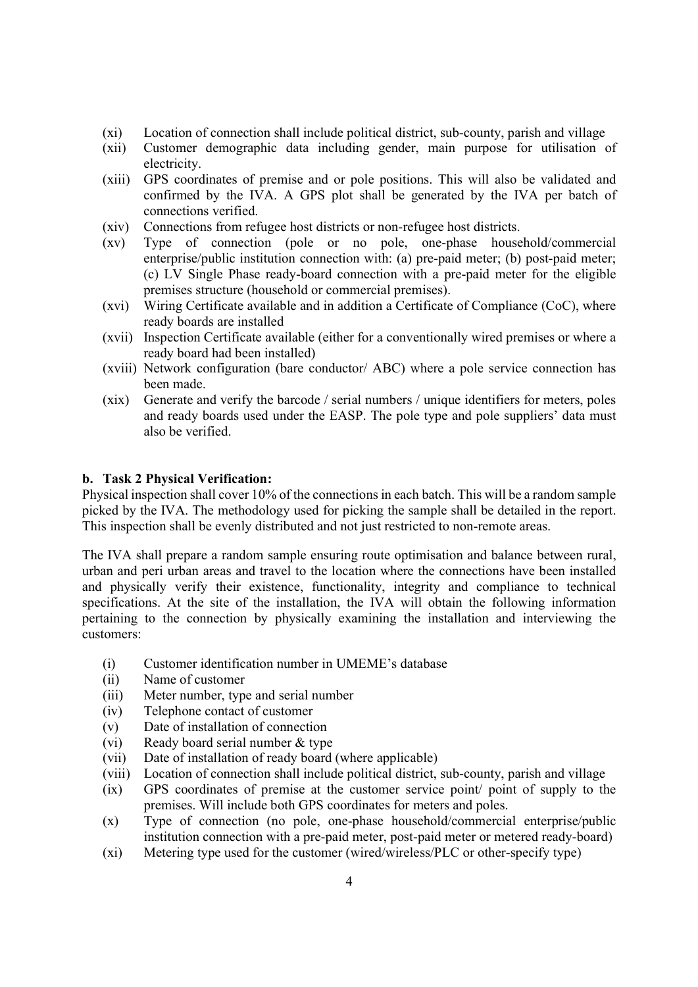- (xi) Location of connection shall include political district, sub-county, parish and village
- (xii) Customer demographic data including gender, main purpose for utilisation of electricity.
- (xiii) GPS coordinates of premise and or pole positions. This will also be validated and confirmed by the IVA. A GPS plot shall be generated by the IVA per batch of connections verified.
- (xiv) Connections from refugee host districts or non-refugee host districts.
- (xv) Type of connection (pole or no pole, one-phase household/commercial enterprise/public institution connection with: (a) pre-paid meter; (b) post-paid meter; (c) LV Single Phase ready-board connection with a pre-paid meter for the eligible premises structure (household or commercial premises).
- (xvi) Wiring Certificate available and in addition a Certificate of Compliance (CoC), where ready boards are installed
- (xvii) Inspection Certificate available (either for a conventionally wired premises or where a ready board had been installed)
- (xviii) Network configuration (bare conductor/ ABC) where a pole service connection has been made.
- (xix) Generate and verify the barcode / serial numbers / unique identifiers for meters, poles and ready boards used under the EASP. The pole type and pole suppliers' data must also be verified.

#### b. Task 2 Physical Verification:

Physical inspection shall cover 10% of the connections in each batch. This will be a random sample picked by the IVA. The methodology used for picking the sample shall be detailed in the report. This inspection shall be evenly distributed and not just restricted to non-remote areas.

The IVA shall prepare a random sample ensuring route optimisation and balance between rural, urban and peri urban areas and travel to the location where the connections have been installed and physically verify their existence, functionality, integrity and compliance to technical specifications. At the site of the installation, the IVA will obtain the following information pertaining to the connection by physically examining the installation and interviewing the customers:

- (i) Customer identification number in UMEME's database
- (ii) Name of customer
- (iii) Meter number, type and serial number
- (iv) Telephone contact of customer
- (v) Date of installation of connection
- (vi) Ready board serial number & type
- (vii) Date of installation of ready board (where applicable)
- (viii) Location of connection shall include political district, sub-county, parish and village
- (ix) GPS coordinates of premise at the customer service point/ point of supply to the premises. Will include both GPS coordinates for meters and poles.
- (x) Type of connection (no pole, one-phase household/commercial enterprise/public institution connection with a pre-paid meter, post-paid meter or metered ready-board)
- (xi) Metering type used for the customer (wired/wireless/PLC or other-specify type)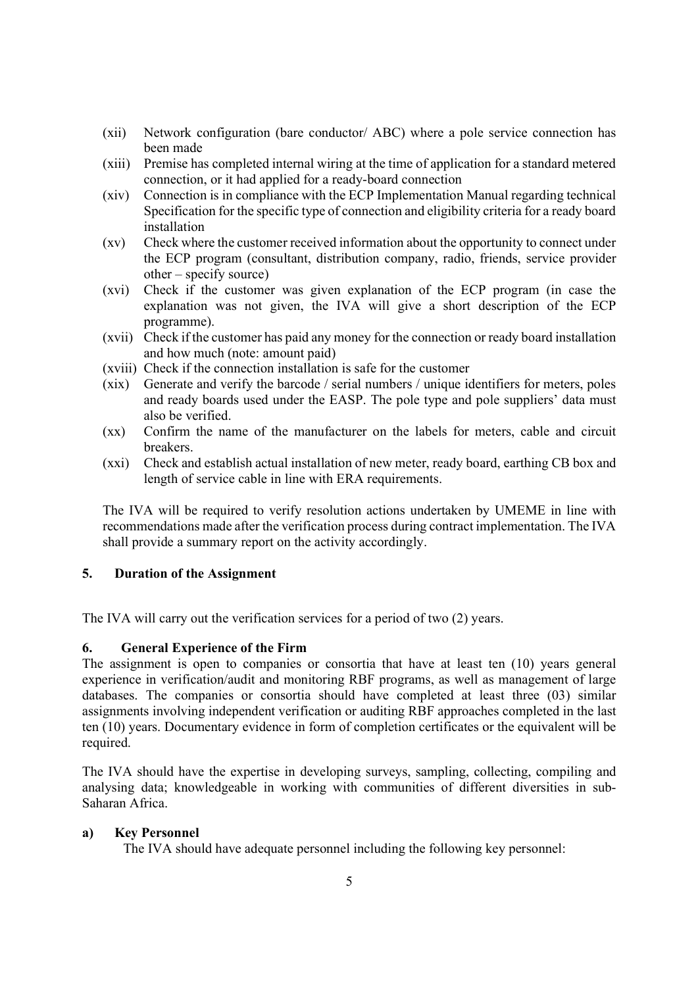- (xii) Network configuration (bare conductor/ ABC) where a pole service connection has been made
- (xiii) Premise has completed internal wiring at the time of application for a standard metered connection, or it had applied for a ready-board connection
- (xiv) Connection is in compliance with the ECP Implementation Manual regarding technical Specification for the specific type of connection and eligibility criteria for a ready board installation
- (xv) Check where the customer received information about the opportunity to connect under the ECP program (consultant, distribution company, radio, friends, service provider other – specify source)
- (xvi) Check if the customer was given explanation of the ECP program (in case the explanation was not given, the IVA will give a short description of the ECP programme).
- (xvii) Check if the customer has paid any money for the connection or ready board installation and how much (note: amount paid)
- (xviii) Check if the connection installation is safe for the customer
- (xix) Generate and verify the barcode / serial numbers / unique identifiers for meters, poles and ready boards used under the EASP. The pole type and pole suppliers' data must also be verified.
- (xx) Confirm the name of the manufacturer on the labels for meters, cable and circuit breakers.
- (xxi) Check and establish actual installation of new meter, ready board, earthing CB box and length of service cable in line with ERA requirements.

The IVA will be required to verify resolution actions undertaken by UMEME in line with recommendations made after the verification process during contract implementation. The IVA shall provide a summary report on the activity accordingly.

## 5. Duration of the Assignment

The IVA will carry out the verification services for a period of two (2) years.

#### 6. General Experience of the Firm

The assignment is open to companies or consortia that have at least ten (10) years general experience in verification/audit and monitoring RBF programs, as well as management of large databases. The companies or consortia should have completed at least three (03) similar assignments involving independent verification or auditing RBF approaches completed in the last ten (10) years. Documentary evidence in form of completion certificates or the equivalent will be required.

The IVA should have the expertise in developing surveys, sampling, collecting, compiling and analysing data; knowledgeable in working with communities of different diversities in sub-Saharan Africa.

#### a) Key Personnel

The IVA should have adequate personnel including the following key personnel: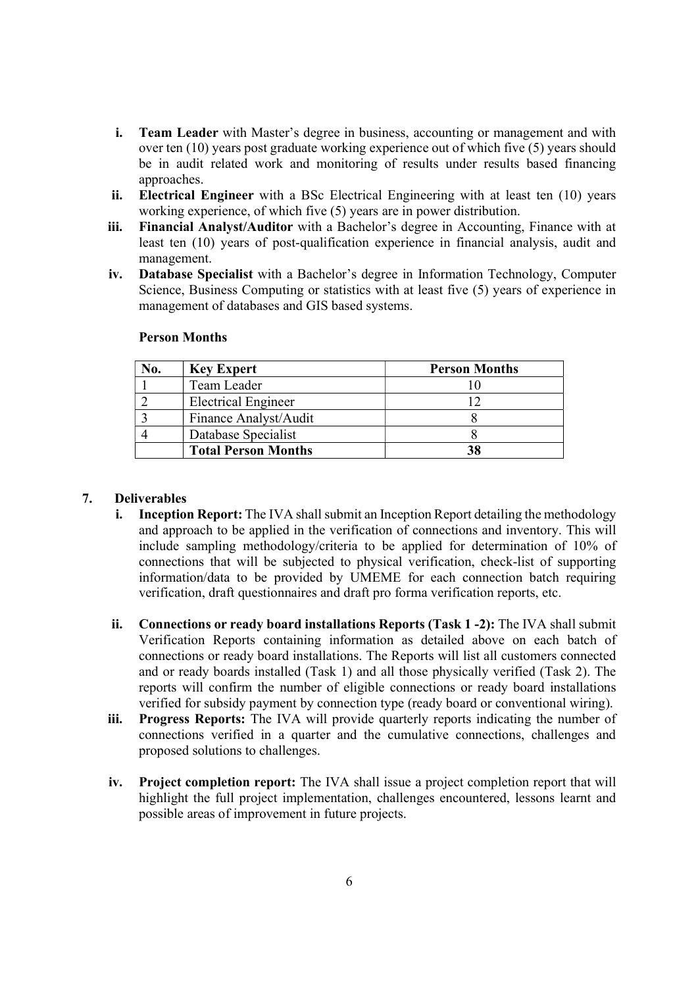- i. Team Leader with Master's degree in business, accounting or management and with over ten (10) years post graduate working experience out of which five (5) years should be in audit related work and monitoring of results under results based financing approaches.
- ii. Electrical Engineer with a BSc Electrical Engineering with at least ten (10) years working experience, of which five (5) years are in power distribution.
- iii. Financial Analyst/Auditor with a Bachelor's degree in Accounting, Finance with at least ten (10) years of post-qualification experience in financial analysis, audit and management.
- iv. Database Specialist with a Bachelor's degree in Information Technology, Computer Science, Business Computing or statistics with at least five (5) years of experience in management of databases and GIS based systems.

| No. | <b>Key Expert</b>          | <b>Person Months</b> |
|-----|----------------------------|----------------------|
|     | Team Leader                |                      |
|     | <b>Electrical Engineer</b> |                      |
|     | Finance Analyst/Audit      |                      |
|     | Database Specialist        |                      |
|     | <b>Total Person Months</b> |                      |

#### Person Months

#### 7. Deliverables

- i. Inception Report: The IVA shall submit an Inception Report detailing the methodology and approach to be applied in the verification of connections and inventory. This will include sampling methodology/criteria to be applied for determination of 10% of connections that will be subjected to physical verification, check-list of supporting information/data to be provided by UMEME for each connection batch requiring verification, draft questionnaires and draft pro forma verification reports, etc.
- ii. Connections or ready board installations Reports (Task 1 -2): The IVA shall submit Verification Reports containing information as detailed above on each batch of connections or ready board installations. The Reports will list all customers connected and or ready boards installed (Task 1) and all those physically verified (Task 2). The reports will confirm the number of eligible connections or ready board installations verified for subsidy payment by connection type (ready board or conventional wiring).
- iii. Progress Reports: The IVA will provide quarterly reports indicating the number of connections verified in a quarter and the cumulative connections, challenges and proposed solutions to challenges.
- iv. Project completion report: The IVA shall issue a project completion report that will highlight the full project implementation, challenges encountered, lessons learnt and possible areas of improvement in future projects.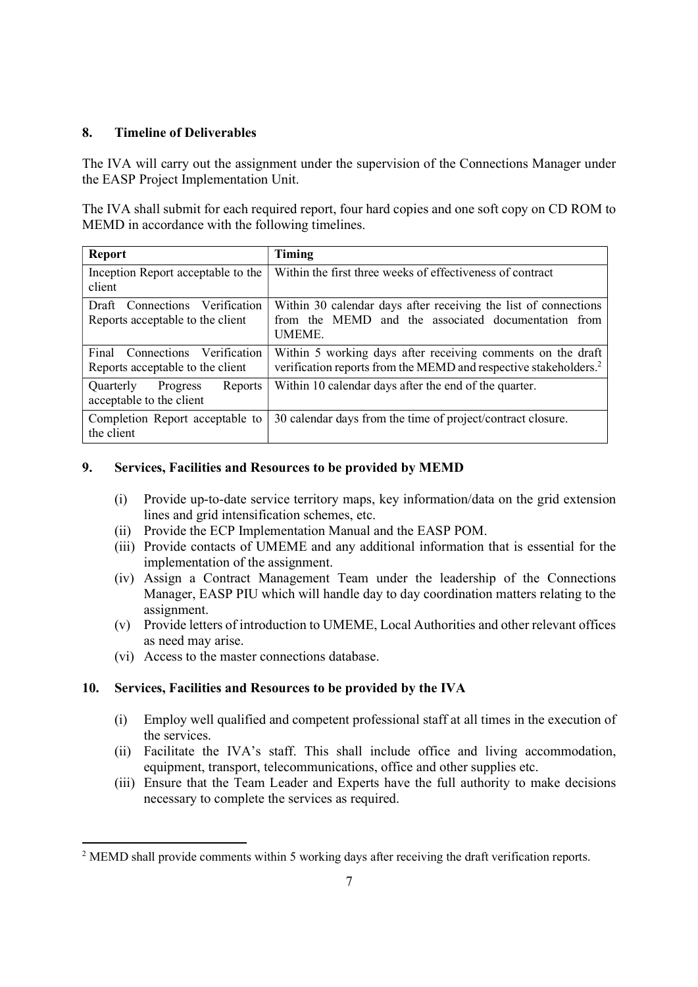## 8. Timeline of Deliverables

The IVA will carry out the assignment under the supervision of the Connections Manager under the EASP Project Implementation Unit.

The IVA shall submit for each required report, four hard copies and one soft copy on CD ROM to MEMD in accordance with the following timelines.

| <b>Report</b>                                                                   | Timing                                                                                                                                      |
|---------------------------------------------------------------------------------|---------------------------------------------------------------------------------------------------------------------------------------------|
| Inception Report acceptable to the<br>client                                    | Within the first three weeks of effectiveness of contract                                                                                   |
| Connections<br><b>Verification</b><br>Draft<br>Reports acceptable to the client | Within 30 calendar days after receiving the list of connections<br>from the MEMD and the associated documentation from<br><b>UMEME.</b>     |
| Final Connections Verification<br>Reports acceptable to the client              | Within 5 working days after receiving comments on the draft<br>verification reports from the MEMD and respective stakeholders. <sup>2</sup> |
| <b>Ouarterly</b><br>Progress<br><b>Reports</b><br>acceptable to the client      | Within 10 calendar days after the end of the quarter.                                                                                       |
| Completion Report acceptable to<br>the client                                   | 30 calendar days from the time of project/contract closure.                                                                                 |

## 9. Services, Facilities and Resources to be provided by MEMD

- (i) Provide up-to-date service territory maps, key information/data on the grid extension lines and grid intensification schemes, etc.
- (ii) Provide the ECP Implementation Manual and the EASP POM.
- (iii) Provide contacts of UMEME and any additional information that is essential for the implementation of the assignment.
- (iv) Assign a Contract Management Team under the leadership of the Connections Manager, EASP PIU which will handle day to day coordination matters relating to the assignment.
- (v) Provide letters of introduction to UMEME, Local Authorities and other relevant offices as need may arise.
- (vi) Access to the master connections database.

## 10. Services, Facilities and Resources to be provided by the IVA

- (i) Employ well qualified and competent professional staff at all times in the execution of the services.
- (ii) Facilitate the IVA's staff. This shall include office and living accommodation, equipment, transport, telecommunications, office and other supplies etc.
- (iii) Ensure that the Team Leader and Experts have the full authority to make decisions necessary to complete the services as required.

 $2$  MEMD shall provide comments within 5 working days after receiving the draft verification reports.